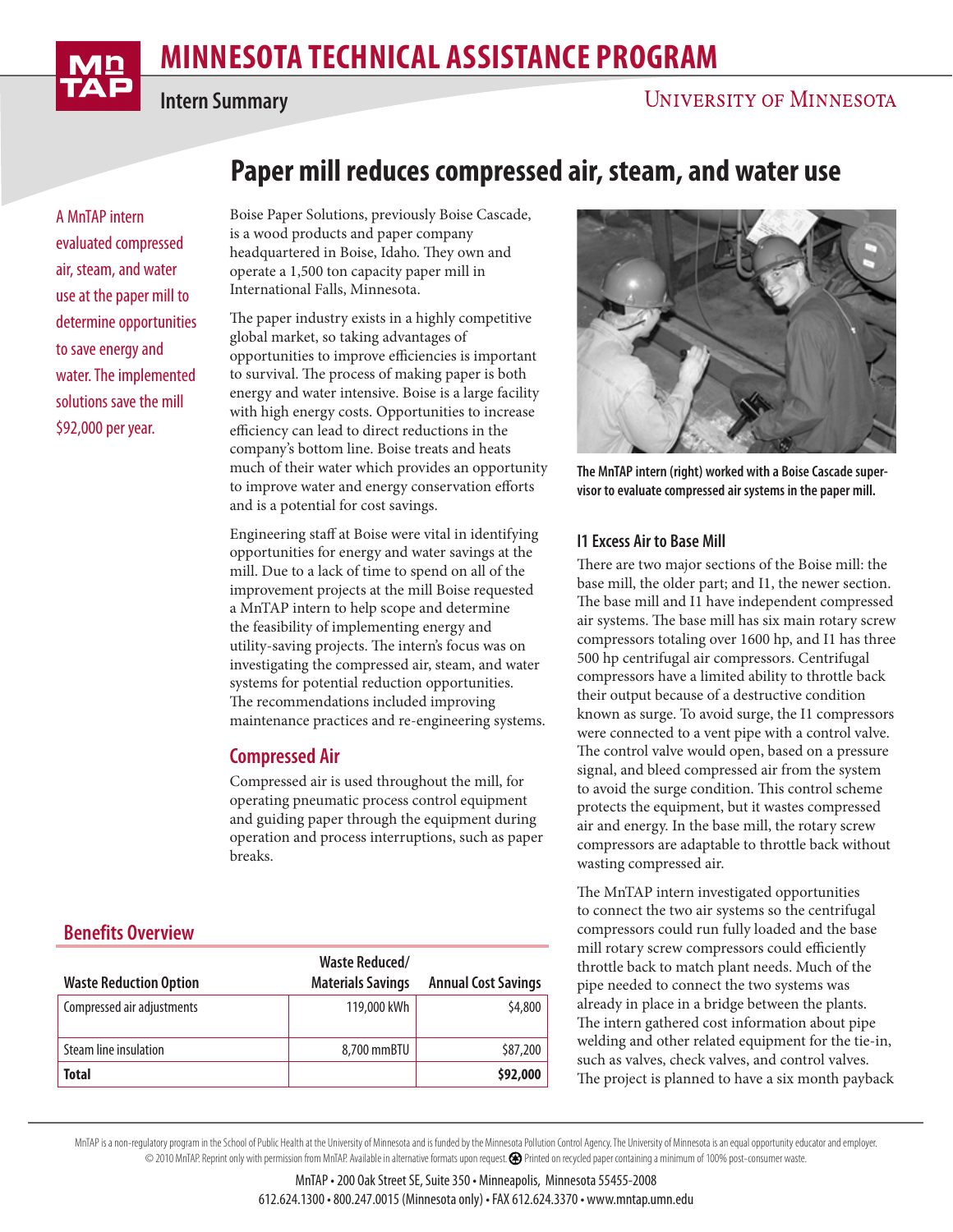# **MINNESOTA TECHNICAL ASSISTANCE PROGRAM**



**Intern Summary**

A MnTAP intern evaluated compressed air, steam, and water use at the paper mill to determine opportunities to save energy and water. The implemented solutions save the mill \$92,000 per year.

## **Paper mill reduces compressed air, steam, and water use**

Boise Paper Solutions, previously Boise Cascade, is a wood products and paper company headquartered in Boise, Idaho. They own and operate a 1,500 ton capacity paper mill in International Falls, Minnesota.

The paper industry exists in a highly competitive global market, so taking advantages of opportunities to improve efficiencies is important to survival. The process of making paper is both energy and water intensive. Boise is a large facility with high energy costs. Opportunities to increase efficiency can lead to direct reductions in the company's bottom line. Boise treats and heats much of their water which provides an opportunity to improve water and energy conservation efforts and is a potential for cost savings.

Engineering staff at Boise were vital in identifying opportunities for energy and water savings at the mill. Due to a lack of time to spend on all of the improvement projects at the mill Boise requested a MnTAP intern to help scope and determine the feasibility of implementing energy and utility-saving projects. The intern's focus was on investigating the compressed air, steam, and water systems for potential reduction opportunities. The recommendations included improving maintenance practices and re-engineering systems.

## **Compressed Air**

Compressed air is used throughout the mill, for operating pneumatic process control equipment and guiding paper through the equipment during operation and process interruptions, such as paper breaks.

## **Benefits Overview**

| <b>Waste Reduction Option</b> | <b>Waste Reduced/</b><br><b>Materials Savings</b> | <b>Annual Cost Savings</b> |
|-------------------------------|---------------------------------------------------|----------------------------|
| Compressed air adjustments    | 119,000 kWh                                       | \$4,800                    |
| Steam line insulation         | 8,700 mmBTU                                       | \$87,200                   |
| Total                         |                                                   | \$92,000                   |



**The MnTAP intern (right) worked with a Boise Cascade supervisor to evaluate compressed air systems in the paper mill.**

#### **I1 Excess Air to Base Mill**

There are two major sections of the Boise mill: the base mill, the older part; and I1, the newer section. The base mill and I1 have independent compressed air systems. The base mill has six main rotary screw compressors totaling over 1600 hp, and I1 has three 500 hp centrifugal air compressors. Centrifugal compressors have a limited ability to throttle back their output because of a destructive condition known as surge. To avoid surge, the I1 compressors were connected to a vent pipe with a control valve. The control valve would open, based on a pressure signal, and bleed compressed air from the system to avoid the surge condition. This control scheme protects the equipment, but it wastes compressed air and energy. In the base mill, the rotary screw compressors are adaptable to throttle back without wasting compressed air.

The MnTAP intern investigated opportunities to connect the two air systems so the centrifugal compressors could run fully loaded and the base mill rotary screw compressors could efficiently throttle back to match plant needs. Much of the pipe needed to connect the two systems was already in place in a bridge between the plants. The intern gathered cost information about pipe welding and other related equipment for the tie-in, such as valves, check valves, and control valves. The project is planned to have a six month payback

MnTAP is a non-regulatory program in the School of Public Health at the University of Minnesota and is funded by the Minnesota Pollution Control Agency. The University of Minnesota is an equal opportunity educator and empl © 2010 MnTAP. Reprint only with permission from MnTAP. Available in alternative formats upon request. Printed on recycled paper containing a minimum of 100% post-consumer waste.